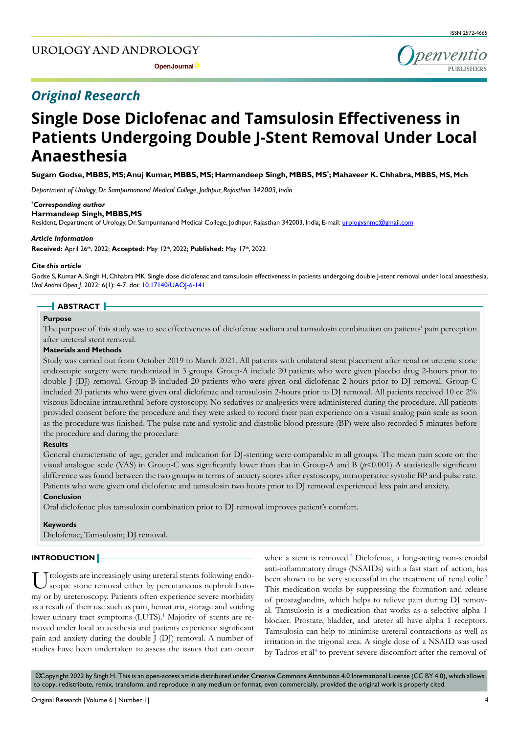# **UROLOGY AND ANDROLOGY**

penventio **Open Journal**  $\circ$  **PUBLISHERS** 

# *Original Research*

# **Single Dose Diclofenac and Tamsulosin Effectiveness in Patients Undergoing Double J-Stent Removal Under Local Anaesthesia**

**Sugam Godse, MBBS, MS; Anuj Kumar, MBBS, MS; Harmandeep Singh, MBBS, MS\* ; Mahaveer K. Chhabra, MBBS, MS, Mch**

*Department of Urology, Dr. Sampurnanand Medical College, Jodhpur, Rajasthan 342003, India*

#### *\* Corresponding author*

#### **Harmandeep Singh, MBBS,MS**

Resident, Department of Urology, Dr. Sampurnanand Medical College, Jodhpur, Rajasthan 342003, India; E-mail: urologysnmc@gmail.com

#### *Article Information*

**Received:** April 26th, 2022; **Accepted:** May 12th, 2022; **Published:** May 17th, 2022

#### *Cite this article*

Godse S, Kumar A, Singh H, Chhabra MK. Single dose diclofenac and tamsulosin effectiveness in patients undergoing double J-stent removal under local anaesthesia. *Urol Androl Open J.* 2022; 6(1): 4-7. doi: [10.17140/UAOJ-6-141](http://dx.doi.org/10.17140/UAOJ-6-141)

#### **ABSTRACT**

# **Purpose**

The purpose of this study was to see effectiveness of diclofenac sodium and tamsulosin combination on patients' pain perception after ureteral stent removal.

# **Materials and Methods**

Study was carried out from October 2019 to March 2021. All patients with unilateral stent placement after renal or ureteric stone endoscopic surgery were randomized in 3 groups. Group-A include 20 patients who were given placebo drug 2-hours prior to double J (DJ) removal. Group-B included 20 patients who were given oral diclofenac 2-hours prior to DJ removal. Group-C included 20 patients who were given oral diclofenac and tamsulosin 2-hours prior to DJ removal. All patients received 10 cc 2% viscous lidocaine intraurethral before cystoscopy. No sedatives or analgesics were administered during the procedure. All patients provided consent before the procedure and they were asked to record their pain experience on a visual analog pain scale as soon as the procedure was finished. The pulse rate and systolic and diastolic blood pressure (BP) were also recorded 5-minutes before the procedure and during the procedure

#### **Results**

General characteristic of age, gender and indication for DJ-stenting were comparable in all groups. The mean pain score on the visual analogue scale (VAS) in Group-C was significantly lower than that in Group-A and B  $(p<0.001)$  A statistically significant difference was found between the two groups in terms of anxiety scores after cystoscopy, intraoperative systolic BP and pulse rate. Patients who were given oral diclofenac and tamsulosin two hours prior to DJ removal experienced less pain and anxiety.

# **Conclusion**

Oral diclofenac plus tamsulosin combination prior to DJ removal improves patient's comfort.

#### **Keywords**

Diclofenac; Tamsulosin; DJ removal.

# **INTRODUCTION**

U rologists are increasingly using ureteral stents following endo-<br>scopic stone removal either by percutaneous nephrolithotomy or by ureteroscopy. Patients often experience severe morbidity as a result of their use such as pain, hematuria, storage and voiding lower urinary tract symptoms (LUTS).<sup>1</sup> Majority of stents are removed under local an aesthesia and patients experience significant pain and anxiety during the double J (DJ) removal. A number of studies have been undertaken to assess the issues that can occur

when a stent is removed.<sup>[2](#page-3-1)</sup> Diclofenac, a long-acting non-steroidal anti-inflammatory drugs (NSAIDs) with a fast start of action, has been shown to be very successful in the treatment of renal colic.<sup>3</sup> This medication works by suppressing the formation and release of prostaglandins, which helps to relieve pain during DJ removal. Tamsulosin is a medication that works as a selective alpha 1 blocker. Prostate, bladder, and ureter all have alpha 1 receptors. Tamsulosin can help to minimise ureteral contractions as well as irritation in the trigonal area. A single dose of a NSAID was used by Tadros et al<sup>[4](#page-3-3)</sup> to prevent severe discomfort after the removal of

 Copyright 2022 by Singh H. This is an open-access article distributed under Creative Commons Attribution 4.0 International License (CC BY 4.0), which allows cc to copy, redistribute, remix, transform, and reproduce in any medium or format, even commercially, provided the original work is properly cited.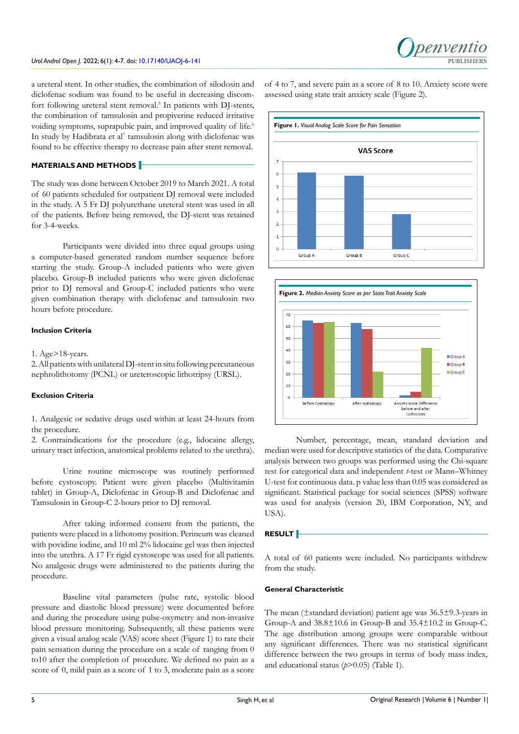a ureteral stent. In other studies, the combination of silodosin and diclofenac sodium was found to be useful in decreasing discom-fort following ureteral stent removal.<sup>[5](#page-3-4)</sup> In patients with DJ-stents, the combination of tamsulosin and propiverine reduced irritative voiding symptoms, suprapubic pain, and improved quality of life.<sup>[6](#page-3-5)</sup> In study by Hadibrata et al<sup>[7](#page-3-6)</sup> tamsulosin along with diclofenac was found to be effective therapy to decrease pain after stent removal.

# **MATERIALS AND METHODS**

The study was done between October 2019 to March 2021. A total of 60 patients scheduled for outpatient DJ removal were included in the study. A 5 Fr DJ polyurethane ureteral stent was used in all of the patients. Before being removed, the DJ-stent was retained for 3-4-weeks.

Participants were divided into three equal groups using a computer-based generated random number sequence before starting the study. Group-A included patients who were given placebo. Group-B included patients who were given diclofenac prior to DJ removal and Group-C included patients who were given combination therapy with diclofenac and tamsulosin two hours before procedure.

# **Inclusion Criteria**

#### 1. Age>18-years.

2. All patients with unilateral DJ-stent in situ following percutaneous nephrolithotomy (PCNL) or ureteroscopic lithotripsy (URSL).

#### **Exclusion Criteria**

1. Analgesic or sedative drugs used within at least 24-hours from the procedure.

2. Contraindications for the procedure (e.g., lidocaine allergy, urinary tract infection, anatomical problems related to the urethra).

Urine routine microscope was routinely performed before cystoscopy. Patient were given placebo (Multivitamin tablet) in Group-A, Diclofenac in Group-B and Diclofenac and Tamsulosin in Group-C 2-hours prior to DJ removal.

After taking informed consent from the patients, the patients were placed in a lithotomy position. Perineum was cleaned with povidine iodine, and 10 ml 2% lidocaine gel was then injected into the urethra. A 17 Fr rigid cystoscope was used for all patients. No analgesic drugs were administered to the patients during the procedure.

Baseline vital parameters (pulse rate, systolic blood pressure and diastolic blood pressure) were documented before and during the procedure using pulse-oxymetry and non-invasive blood pressure monitoring. Subsequently, all these patients were given a visual analog scale (VAS) score sheet (Figure 1) to rate their pain sensation during the procedure on a scale of ranging from 0 to10 after the completion of procedure. We defined no pain as a score of 0, mild pain as a score of 1 to 3, moderate pain as a score

of 4 to 7, and severe pain as a score of 8 to 10. Anxiety score were assessed using state trait anxiety scale (Figure 2).





Number, percentage, mean, standard deviation and median were used for descriptive statistics of the data. Comparative analysis between two groups was performed using the Chi-square test for categorical data and independent *t*-test or Mann–Whitney U-test for continuous data. p value less than 0.05 was considered as significant. Statistical package for social sciences (SPSS) software was used for analysis (version 20, IBM Corporation, NY, and USA).

# **RESULT**

A total of 60 patients were included. No participants withdrew from the study.

#### **General Characteristic**

The mean (±standard deviation) patient age was 36.5±9.3-years in Group-A and 38.8±10.6 in Group-B and 35.4±10.2 in Group-C. The age distribution among groups were comparable without any significant differences. There was no statistical significant difference between the two groups in terms of body mass index, and educational status (*p*>0.05) (Table 1).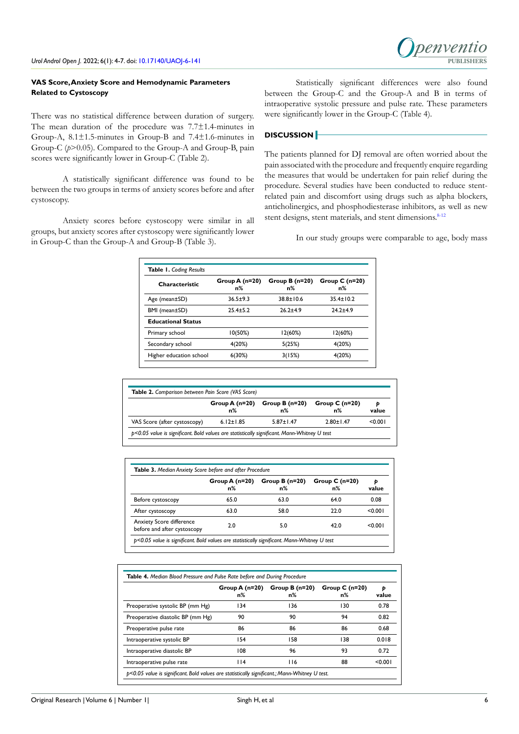# **VAS Score, Anxiety Score and Hemodynamic Parameters Related to Cystoscopy**

There was no statistical difference between duration of surgery. The mean duration of the procedure was 7.7±1.4-minutes in Group-A, 8.1±1.5-minutes in Group-B and 7.4±1.6-minutes in Group-C (*p*>0.05). Compared to the Group-A and Group-B, pain scores were significantly lower in Group-C (Table 2).

A statistically significant difference was found to be between the two groups in terms of anxiety scores before and after cystoscopy.

Anxiety scores before cystoscopy were similar in all groups, but anxiety scores after cystoscopy were significantly lower in Group-C than the Group-A and Group-B (Table 3).

Statistically significant differences were also found between the Group-C and the Group-A and B in terms of intraoperative systolic pressure and pulse rate. These parameters were significantly lower in the Group-C (Table 4).

*Denventio* 

# **DISCUSSION**

The patients planned for DJ removal are often worried about the pain associated with the procedure and frequently enquire regarding the measures that would be undertaken for pain relief during the procedure. Several studies have been conducted to reduce stentrelated pain and discomfort using drugs such as alpha blockers, anticholinergics, and phosphodiesterase inhibitors, as well as new stent designs, stent materials, and stent dimensions.<sup>8-12</sup>

In our study groups were comparable to age, body mass

| <b>Characteristic</b>     | Group $A(n=20)$<br>n% | Group $B(n=20)$<br>n% | Group $C(n=20)$<br>n% |
|---------------------------|-----------------------|-----------------------|-----------------------|
| Age (mean±SD)             | $36.5 + 9.3$          | $38.8 \pm 10.6$       | $35.4 \pm 10.2$       |
| BMI (mean±SD)             | $25.4 + 5.2$          | $26.2 + 4.9$          | $24.2 + 4.9$          |
| <b>Educational Status</b> |                       |                       |                       |
| Primary school            | 10(50%)               | 12(60%)               | 12(60%)               |
| Secondary school          | 4(20%)                | 5(25%)                | 4(20%)                |
| Higher education school   | 6(30%)                | 3(15%)                | 4(20%)                |

|                              | $Group A(n=20)$ | Group B $(n=20)$ | Group $C(n=20)$ | Þ       |
|------------------------------|-----------------|------------------|-----------------|---------|
|                              | n%              | $n\%$            | n%              | value   |
| VAS Score (after cystoscopy) | $6.12 \pm 1.85$ | $5.87 \pm 1.47$  | $2.80 \pm 1.47$ | < 0.001 |

|                                                                | Group A $(n=20)$<br>$n\%$ | Group $B(n=20)$<br>n% | Group $C(n=20)$<br>n% | Ð<br>value |
|----------------------------------------------------------------|---------------------------|-----------------------|-----------------------|------------|
| Before cystoscopy                                              | 65.0                      | 63.0                  | 64.0                  | 0.08       |
| After cystoscopy                                               | 63.0                      | 58.0                  | 22.0                  | < 0.001    |
| <b>Anxiety Score difference</b><br>before and after cystoscopy | 2.0                       | 5.0                   | 42.0                  | < 0.001    |

|                                   | Group A (n=20)<br>n% | Group $B(n=20)$<br>n% | Group $C(n=20)$<br>n% | Þ<br>value |
|-----------------------------------|----------------------|-----------------------|-----------------------|------------|
| Preoperative systolic BP (mm Hg)  | 134                  | 136                   | 130                   | 0.78       |
| Preoperative diastolic BP (mm Hg) | 90                   | 90                    | 94                    | 0.82       |
| Preoperative pulse rate           | 86                   | 86                    | 86                    | 0.68       |
| Intraoperative systolic BP        | 154                  | 158                   | 138                   | 0.018      |
| Intraoperative diastolic BP       | 108                  | 96                    | 93                    | 0.72       |
| Intraoperative pulse rate         | 114                  | 116                   | 88                    | < 0.001    |